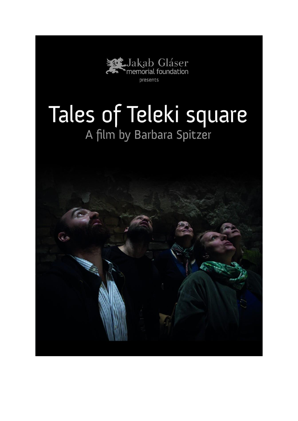

# Tales of Teleki square

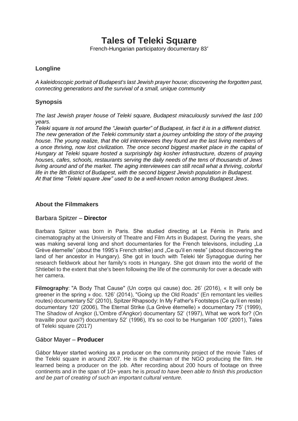### **Tales of Teleki Square**

French-Hungarian participatory documentary 83′

#### **Longline**

*A kaleidoscopic portrait of Budapest's last Jewish prayer house; discovering the forgotten past, connecting generations and the survival of a small, unique community*

#### **Synopsis**

*The last Jewish prayer house of Teleki square, Budapest miraculously survived the last 100 years.*

*Teleki square is not around the "Jewish quarter" of Budapest, in fact it is in a different district. The new generation of the Teleki community start a journey unfolding the story of the praying house. The young realize, that the old interviewees they found are the last living members of a once thriving, now lost civilization. The once second biggest market place in the capital of Hungary at Teleki square hosted a surprisingly big kosher infrastructure, dozens of praying houses, cafes, schools, restaurants serving the daily needs of the tens of thousands of Jews living around and of the market. The aging interviewees can still recall what a thriving, colorful life in the 8th district of Budapest, with the second biggest Jewish population in Budapest. At that time "Teleki square Jew" used to be a well-known notion among Budapest Jews*.

#### **About the Filmmakers**

#### Barbara Spitzer – **Director**

Barbara Spitzer was born in Paris. She studied directing at Le Fémis in Paris and cinematography at the University of Theatre and Film Arts in Budapest. During the years, she was making several long and short documentaries for the French televisons, including ...La Grève éternelle" (about the 1995's French strike) and "Ce qu'il en reste" (about discovering the land of her ancestor in Hungary). She got in touch with Teleki tér Synagogue during her research fieldwork about her family's roots in Hungary. She got drawn into the world of the Shtiebel to the extent that she's been following the life of the community for over a decade with her camera.

**Filmography**: "A Body That Cause" (Un corps qui cause) doc. 26' (2016), « It will only be greener in the spring » doc. 126' (2014), "Going up the Old Roads" (En remontant les vieilles routes) documentary 52' (2010), Spitzer Rhapsody: In My Father's Footsteps (Ce qu'il en reste) documentary 120' (2006), The Eternal Strike (La Grève éternelle) » documentary 75' (1999), The Shadow of Angkor (L'Ombre d'Angkor) documentary 52' (1997), What we work for? (On travaille pour quoi?) documentary 52' (1996), It's so cool to be Hungarian 100' (2001), Tales of Teleki square (2017)

#### Gábor Mayer – **Producer**

Gábor Mayer started working as a producer on the community project of the movie Tales of the Teleki square in around 2007. He is the chairman of the NGO producing the film. He learned being a producer on the job. After recording about 200 hours of footage on three continents and in the span of 10+ years he is *proud to have been able to finish this production and be part of creating of such an important cultural venture.*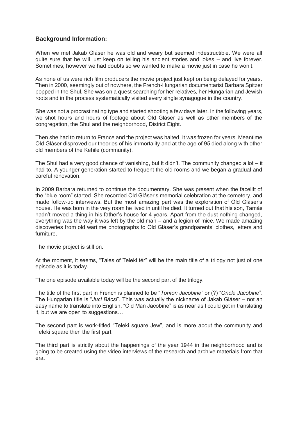#### **Background Information:**

When we met Jakab Gláser he was old and weary but seemed indestructible. We were all quite sure that he will just keep on telling his ancient stories and jokes – and live forever. Sometimes, however we had doubts so we wanted to make a movie just in case he won't.

As none of us were rich film producers the movie project just kept on being delayed for years. Then in 2000, seemingly out of nowhere, the French-Hungarian documentarist Barbara Spitzer popped in the Shul. She was on a quest searching for her relatives, her Hungarian and Jewish roots and in the process systematically visited every single synagogue in the country.

She was not a procrastinating type and started shooting a few days later. In the following years, we shot hours and hours of footage about Old Gláser as well as other members of the congregation, the Shul and the neighborhood, District Eight.

Then she had to return to France and the project was halted. It was frozen for years. Meantime Old Gláser disproved our theories of his immortality and at the age of 95 died along with other old members of the Kehile (community).

The Shul had a very good chance of vanishing, but it didn't. The community changed a lot – it had to. A younger generation started to frequent the old rooms and we began a gradual and careful renovation.

In 2009 Barbara returned to continue the documentary. She was present when the facelift of the "blue room" started. She recorded Old Gláser's memorial celebration at the cemetery, and made follow-up interviews. But the most amazing part was the exploration of Old Gláser's house. He was born in the very room he lived in until he died. It turned out that his son, Tamás hadn't moved a thing in his father's house for 4 years. Apart from the dust nothing changed, everything was the way it was left by the old man – and a legion of mice. We made amazing discoveries from old wartime photographs to Old Gláser's grandparents' clothes, letters and furniture.

The movie project is still on.

At the moment, it seems, "Tales of Teleki tér" will be the main title of a trilogy not just of one episode as it is today.

The one episode available today will be the second part of the trilogy.

The title of the first part in French is planned to be "*Tonton Jacobine*" or (?) "*Oncle Jacobine*". The Hungarian title is "*Juci Bácsi*". This was actually the nickname of Jakab Gláser – not an easy name to translate into English. "Old Man Jacobine" is as near as I could get in translating it, but we are open to suggestions…

The second part is work-titled "Teleki square Jew", and is more about the community and Teleki square then the first part.

The third part is strictly about the happenings of the year 1944 in the neighborhood and is going to be created using the video interviews of the research and archive materials from that era.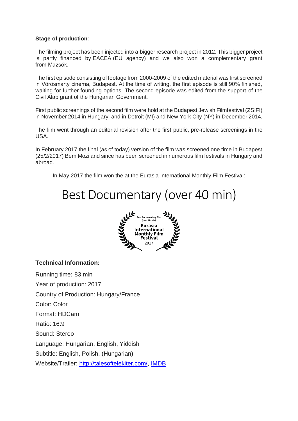#### **Stage of production**:

The filming project has been injected into a [bigger research](http://talesoftelekiter.com/2014/12/343/img_8171a_s/) project in 2012. This bigger project is partly financed by [EACEA](http://eacea.ec.europa.eu/index_en.php) (EU agency) and we also won a complementary grant from [Mazsök.](http://www.mazsok.hu/)

The first episode consisting of footage from 2000-2009 of the edited material was first screened in Vörösmarty cinema, Budapest. At the time of writing, the first episode is still 90% finished, waiting for further founding options. The second episode was edited from the support of the Civil Alap grant of the Hungarian Government.

First public screenings of the second film were hold at the Budapest Jewish Filmfestival [\(ZSIFI\)](http://zsifi.org/) in November 2014 in Hungary, and in Detroit (MI) and New York City (NY) in December 2014.

The film went through an editorial revision after the first public, pre-release screenings in the USA.

In February 2017 the final (as of today) version of the film was screened one time in Budapest (25/2/2017) Bem Mozi and since has been screened in numerous film festivals in Hungary and abroad.

In May 2017 the film won the at the Eurasia International Monthly Film Festival:

## Best Documentary (over 40 min)



#### **Technical Information:**

Running time**:** 83 min Year of production: 2017 Country of Production: Hungary/France Color: Color Format: HDCam Ratio: 16:9 Sound: Stereo Language: Hungarian, English, Yiddish Subtitle: English, Polish, (Hungarian)

Website/Trailer: [http://talesoftelekiter.com/,](http://talesoftelekiter.com/) [IMDB](http://www.imdb.com/title/tt4217742/)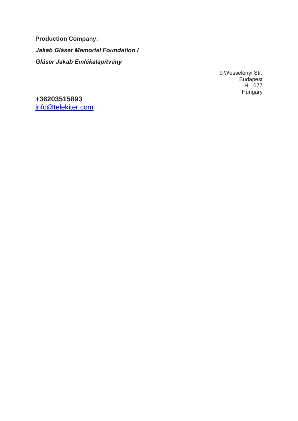**Production Company:** *Jakab Gláser Memorial Foundation / Gláser Jakab Emlékalapítvány*

> 9 Wesselényi Str. Budapest H-1077 Hungary

**+36203515893** [info@telekiter.com](mailto:info@telekiter.com)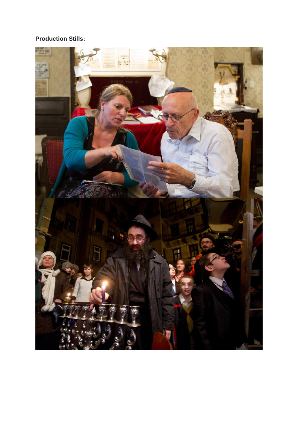#### **Production Stills:**

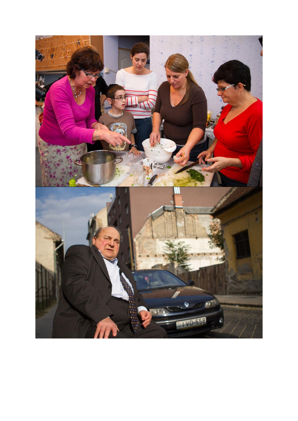